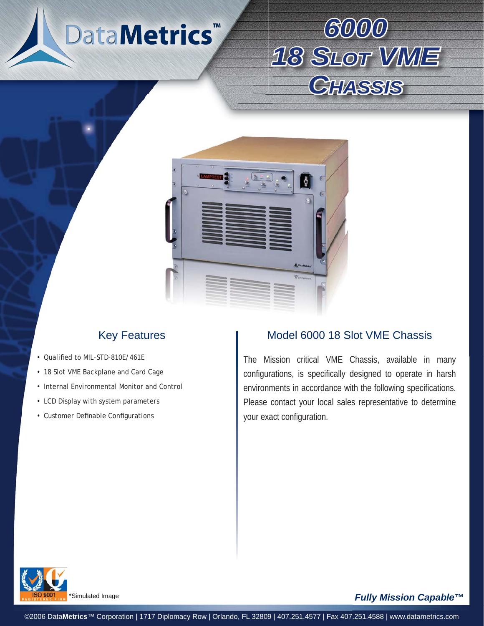





# Key Features

- Qualified to MIL-STD-810E/461E
- 18 Slot VME Backplane and Card Cage
- Internal Environmental Monitor and Control
- LCD Display with system parameters
- Customer Definable Configurations

#### Model 6000 18 Slot VME Chassis

The Mission critical VME Chassis, available in many configurations, is specifically designed to operate in harsh environments in accordance with the following specifications. Please contact your local sales representative to determine your exact configuration.



Simulated Image

#### *Fully Mission Capable™*